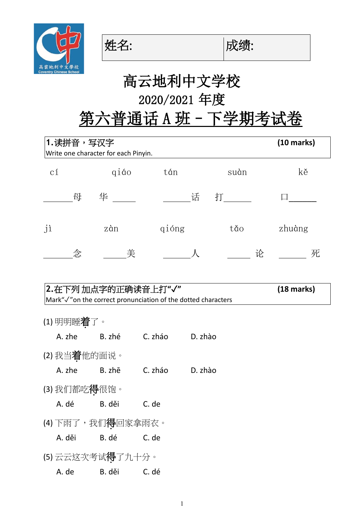





# 高云地利中文学校 2020/2021 年度

第六普通话 A 班 - 下学期考试卷

| 1.读拼音,写汉字<br>Write one character for each Pinyin.                                                 | $(10 \text{ marks})$ |              |                 |          |      |        |  |  |  |
|---------------------------------------------------------------------------------------------------|----------------------|--------------|-----------------|----------|------|--------|--|--|--|
| $\operatorname{c1}$                                                                               |                      | qiáo         | tán             |          | suàn | kě     |  |  |  |
|                                                                                                   | 母                    | 华            |                 | 话 打_____ |      |        |  |  |  |
| jì                                                                                                |                      | zàn          | qióng           |          | tăo  | zhuàng |  |  |  |
|                                                                                                   | 念                    | 美            |                 |          | 论    | 死      |  |  |  |
| 2.在下列 加点字的正确读音上打"√"<br>(18 marks)<br>Mark"√"on the correct pronunciation of the dotted characters |                      |              |                 |          |      |        |  |  |  |
| (1) 明明睡 <b>着</b> 了。                                                                               |                      |              |                 |          |      |        |  |  |  |
| A. zhe                                                                                            |                      | B. zhé       | C. zháo D. zhào |          |      |        |  |  |  |
| (2)我当着他的面说。                                                                                       |                      |              |                 |          |      |        |  |  |  |
| A. zhe                                                                                            |                      | B. zhē       | C. zháo         | D. zhào  |      |        |  |  |  |
| (3) 我们都吃 <b>得</b> 很饱。                                                                             |                      |              |                 |          |      |        |  |  |  |
| A. dé                                                                                             |                      | B. děi       | C. de           |          |      |        |  |  |  |
| (4) 下雨了,我们 <b>得</b> 回家拿雨衣。                                                                        |                      |              |                 |          |      |        |  |  |  |
| A. děi                                                                                            |                      | B. dé C. de  |                 |          |      |        |  |  |  |
| (5)云云这次考试得了九十分。                                                                                   |                      |              |                 |          |      |        |  |  |  |
| A. de                                                                                             |                      | B. děi C. dé |                 |          |      |        |  |  |  |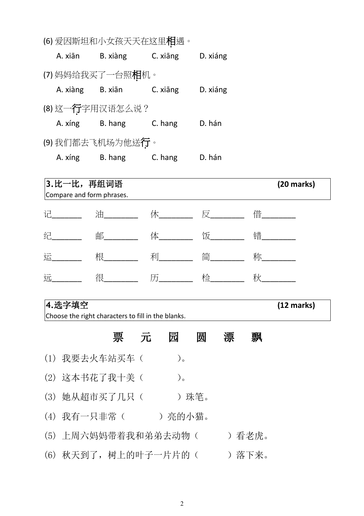|          | (b) 发囚郏呾和小乆掞大大仕込里¶坦遗。    |          |          |
|----------|--------------------------|----------|----------|
| A. xiān  | B. xiàng                 | C. xiāng | D. xiáng |
|          | (7)妈妈给我买了一台照相机。          |          |          |
| A. xiàng | B. xiān                  | C. xiāng | D. xiáng |
|          | (8) 这一行字用汉语怎么说?          |          |          |
| A. xíng  | B. hang                  | C. hang  | D. hán   |
|          | (9)我们都去飞机场为他送 <b>行</b> 。 |          |          |
| A. xíng  | B. hang                  | C. hang  | D. hán   |

(6) 英国新疆和西哥和亚洲城市

**3.**比一比,再组词语 **(20 marks)** Compare and form phrases. 记\_\_\_\_\_\_\_\_ 油\_\_\_\_\_\_\_\_ 休\_\_\_\_\_\_\_\_ 反\_\_\_\_\_\_\_\_ 借\_\_\_\_\_\_\_\_ 纪\_\_\_\_\_\_\_\_ 邮\_\_\_\_\_\_\_\_ 体\_\_\_\_\_\_\_\_ 饭\_\_\_\_\_\_\_\_\_ 错\_\_\_\_\_\_\_\_\_ 运\_\_\_\_\_\_\_ 根\_\_\_\_\_\_\_\_ 利\_\_\_\_\_\_\_\_ 简\_\_\_\_\_\_\_\_ 称\_\_\_\_\_\_\_\_ 远\_\_\_\_\_\_\_ 很\_\_\_\_\_\_\_\_ 历\_\_\_\_\_\_\_\_ 检\_\_\_\_\_\_\_\_ 秋\_\_\_\_\_\_\_\_

### **4.**选字填空 **(12 marks)**

Choose the right characters to fill in the blanks.

票 元 园 圆 漂 飘 (1) 我要去火车站买车( )。 (2) 这本书花了我十美( )。 (3) 她从超市买了几只( )珠笔。 (4) 我有一只非常( )亮的小猫。 (5) 上周六妈妈带着我和弟弟去动物( )看老虎。 (6) 秋天到了, 树上的叶子一片片的( ) 落下来。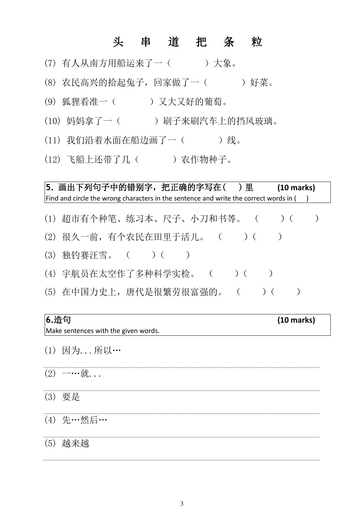### 头 串 道 把 条 粒

- (7) 有人从南方用船运来了一( )大象。
- (8) 农民高兴的拾起兔子,回家做了一( )好菜。
- (9) 狐狸看准一( )又大又好的葡萄。
- (10) 妈妈拿了一( )刷子来刷汽车上的挡风玻璃。
- (11) 我们沿着水面在船边画了一()线。
- (12) 飞船上还带了几( ) 农作物种子。

**5.** 画出下列句子中的错别字,把正确的字写在( ) 里 **(10 marks)** Find and circle the wrong characters in the sentence and write the correct words in  $($ )

- (1) 超市有个种笔、练习本、尺子、小刀和书等。 ()()
- (2) 很久一前, 有个农民在田里于活儿。 ( ) ( )
- (3) 独钓赛汪雪。 ( ) ( )
- (4) 宇航员在太空作了多种科学实检。 () ()
- (5) 在中国力史上, 唐代是很繁劳很富强的。 ( ) ( )

## **6.**造句 **(10 marks)** Make sentences with the given words.

\_\_\_\_\_\_\_\_\_\_\_\_\_\_\_\_\_\_\_\_\_\_\_\_\_\_\_\_\_\_\_\_\_\_\_\_\_\_\_\_\_\_\_\_\_\_\_\_\_\_\_\_\_\_\_\_\_\_\_\_\_\_\_\_\_\_\_\_\_\_\_\_\_\_\_\_\_\_\_\_\_\_\_\_\_\_\_\_\_\_\_\_\_\_\_\_\_\_\_\_\_\_\_\_\_\_\_\_\_\_\_\_\_

- (1) 因为...所以…
- $(2)$  一…就...
- (3) 要是

(4) 先…然后…

#### (5) 越来越